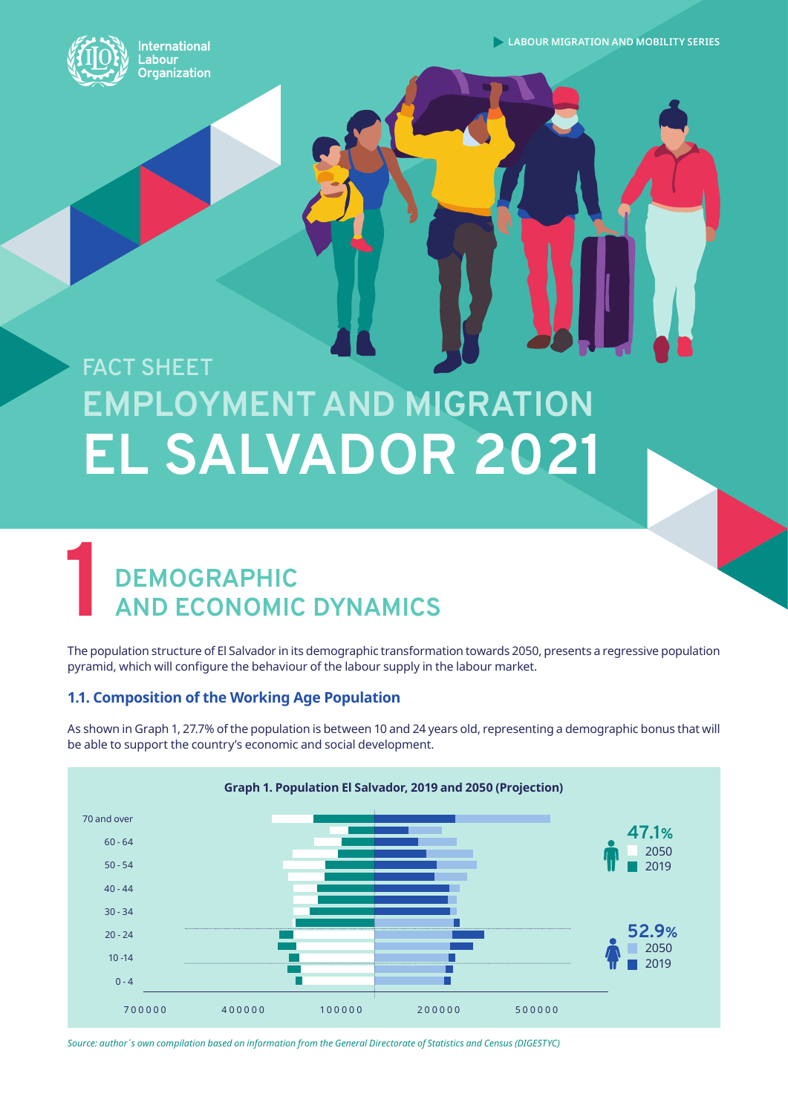**International** abour **Organization** 

**LABOUR MIGRATION AND MOBILITY SERIES** 

# **EMPLOYMENT AND MIGRATION EL SALVADOR 2021 FACT SHEET**

## **1 DEMOGRAPHIC AND ECONOMIC DYNAMICS**

The population structure of El Salvador in its demographic transformation towards 2050, presents a regressive population pyramid, which will configure the behaviour of the labour supply in the labour market.

#### **1.1. Composition of the Working Age Population**

As shown in Graph 1, 27.7% of the population is between 10 and 24 years old, representing a demographic bonus that will be able to support the country's economic and social development.



*Source: author´s own compilation based on information from the General Directorate of Statistics and Census (DIGESTYC)*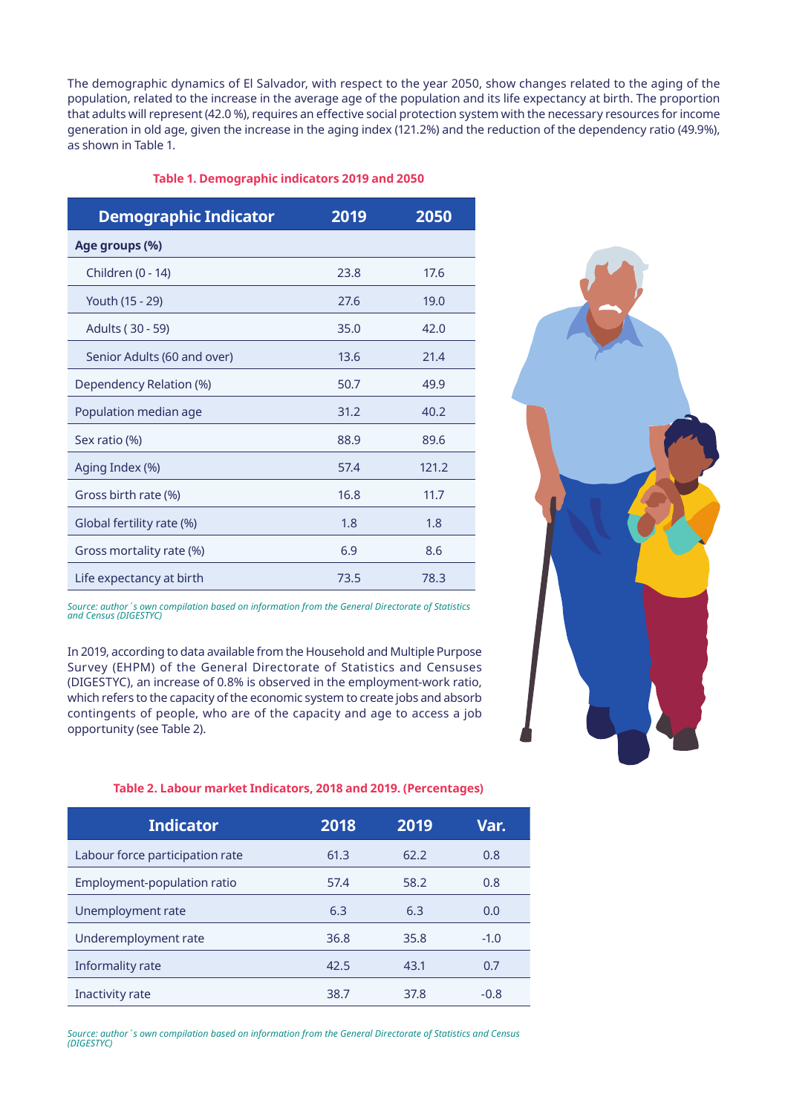The demographic dynamics of El Salvador, with respect to the year 2050, show changes related to the aging of the population, related to the increase in the average age of the population and its life expectancy at birth. The proportion that adults will represent (42.0 %), requires an effective social protection system with the necessary resources for income generation in old age, given the increase in the aging index (121.2%) and the reduction of the dependency ratio (49.9%), as shown in Table 1.

#### **Table 1. Demographic indicators 2019 and 2050**

| <b>Demographic Indicator</b> | 2019 | 2050  |
|------------------------------|------|-------|
| Age groups (%)               |      |       |
| Children (0 - 14)            | 23.8 | 17.6  |
| Youth (15 - 29)              | 27.6 | 19.0  |
| Adults (30 - 59)             | 35.0 | 42.0  |
| Senior Adults (60 and over)  | 13.6 | 21.4  |
| Dependency Relation (%)      | 50.7 | 49.9  |
| Population median age        | 31.2 | 40.2  |
| Sex ratio (%)                | 88.9 | 89.6  |
| Aging Index (%)              | 57.4 | 121.2 |
| Gross birth rate (%)         | 16.8 | 11.7  |
| Global fertility rate (%)    | 1.8  | 1.8   |
| Gross mortality rate (%)     | 6.9  | 8.6   |
| Life expectancy at birth     | 73.5 | 78.3  |

*Source: author´s own compilation based on information from the General Directorate of Statistics and Census (DIGESTYC)*

In 2019, according to data available from the Household and Multiple Purpose Survey (EHPM) of the General Directorate of Statistics and Censuses (DIGESTYC), an increase of 0.8% is observed in the employment-work ratio, which refers to the capacity of the economic system to create jobs and absorb contingents of people, who are of the capacity and age to access a job opportunity (see Table 2).



#### **Table 2. Labour market Indicators, 2018 and 2019. (Percentages)**

| <b>Indicator</b>                | 2018 | 2019 | Var.   |
|---------------------------------|------|------|--------|
| Labour force participation rate | 61.3 | 62.2 | 0.8    |
| Employment-population ratio     | 57.4 | 58.2 | 0.8    |
| Unemployment rate               | 6.3  | 6.3  | 0.0    |
| Underemployment rate            | 36.8 | 35.8 | $-1.0$ |
| Informality rate                | 42.5 | 43.1 | 0.7    |
| Inactivity rate                 | 38.7 | 37.8 | $-0.8$ |

*Source: author´s own compilation based on information from the General Directorate of Statistics and Census (DIGESTYC)*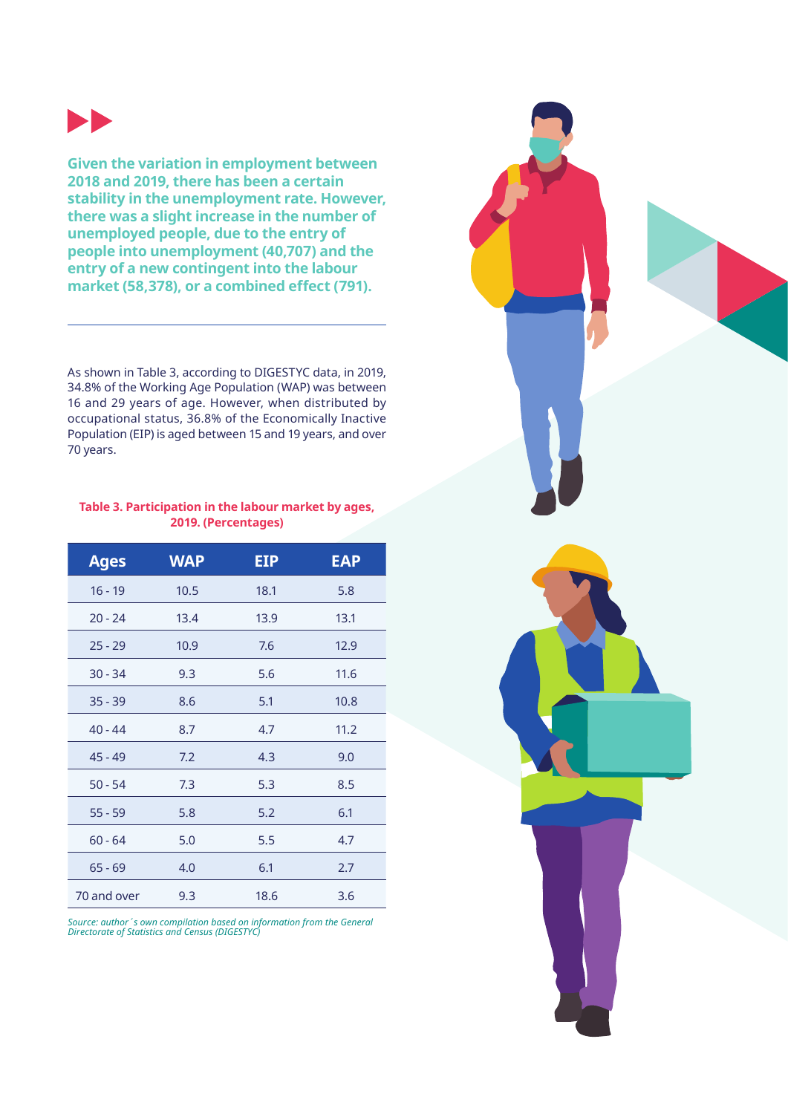

**Given the variation in employment between 2018 and 2019, there has been a certain stability in the unemployment rate. However, there was a slight increase in the number of unemployed people, due to the entry of people into unemployment (40,707) and the entry of a new contingent into the labour market (58,378), or a combined effect (791).**

As shown in Table 3, according to DIGESTYC data, in 2019, 34.8% of the Working Age Population (WAP) was between 16 and 29 years of age. However, when distributed by occupational status, 36.8% of the Economically Inactive Population (EIP) is aged between 15 and 19 years, and over 70 years.

#### **Table 3. Participation in the labour market by ages, 2019. (Percentages)**

| <b>Ages</b> | <b>WAP</b> | EIP  | <b>EAP</b> |
|-------------|------------|------|------------|
| $16 - 19$   | 10.5       | 18.1 | 5.8        |
| $20 - 24$   | 13.4       | 13.9 | 13.1       |
| $25 - 29$   | 10.9       | 7.6  | 12.9       |
| $30 - 34$   | 9.3        | 5.6  | 11.6       |
| $35 - 39$   | 8.6        | 5.1  | 10.8       |
| $40 - 44$   | 8.7        | 4.7  | 11.2       |
| $45 - 49$   | 7.2        | 4.3  | 9.0        |
| $50 - 54$   | 7.3        | 5.3  | 8.5        |
| $55 - 59$   | 5.8        | 5.2  | 6.1        |
| $60 - 64$   | 5.0        | 5.5  | 4.7        |
| $65 - 69$   | 4.0        | 6.1  | 2.7        |
| 70 and over | 9.3        | 18.6 | 3.6        |

*Source: author´s own compilation based on information from the General Directorate of Statistics and Census (DIGESTYC)*

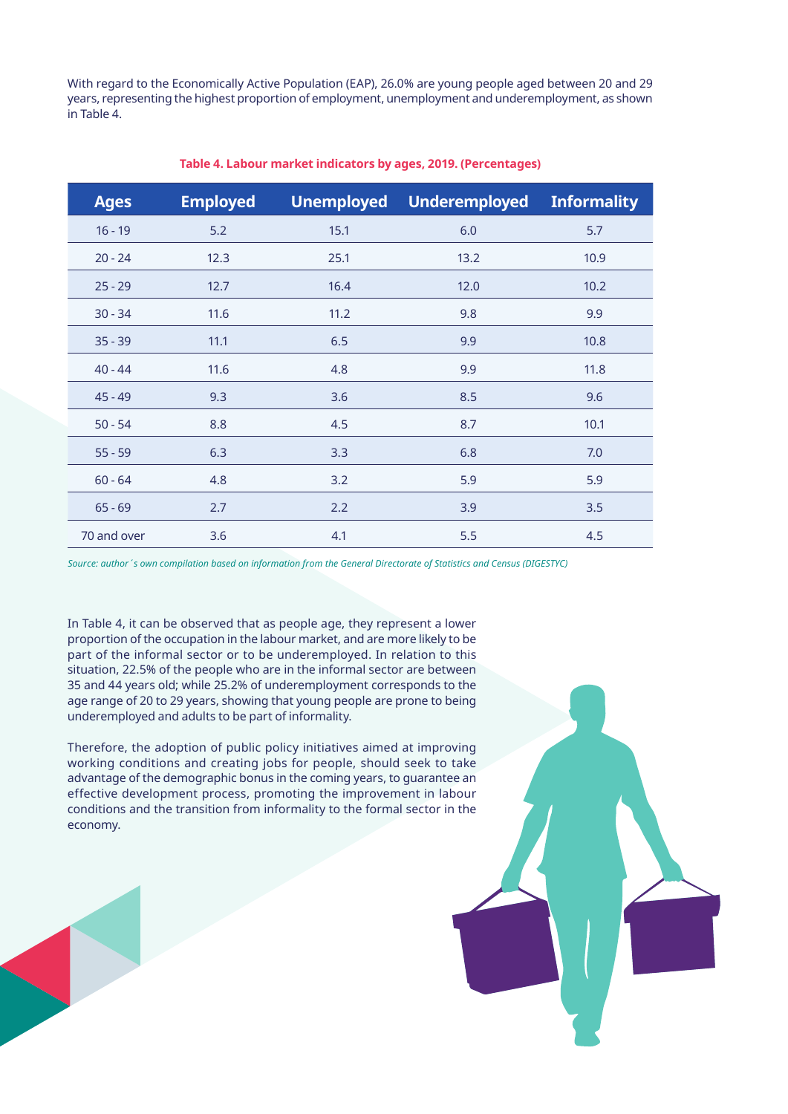With regard to the Economically Active Population (EAP), 26.0% are young people aged between 20 and 29 years, representing the highest proportion of employment, unemployment and underemployment, as shown in Table 4.

| <b>Ages</b> | <b>Employed</b> | <b>Unemployed</b> | <b>Underemployed</b> | <b>Informality</b> |
|-------------|-----------------|-------------------|----------------------|--------------------|
| $16 - 19$   | 5.2             | 15.1              | 6.0                  | 5.7                |
| $20 - 24$   | 12.3            | 25.1              | 13.2                 | 10.9               |
| $25 - 29$   | 12.7            | 16.4              | 12.0                 | 10.2               |
| $30 - 34$   | 11.6            | 11.2              | 9.8                  | 9.9                |
| $35 - 39$   | 11.1            | 6.5               | 9.9                  | 10.8               |
| $40 - 44$   | 11.6            | 4.8               | 9.9                  | 11.8               |
| $45 - 49$   | 9.3             | 3.6               | 8.5                  | 9.6                |
| $50 - 54$   | 8.8             | 4.5               | 8.7                  | 10.1               |
| $55 - 59$   | 6.3             | 3.3               | 6.8                  | 7.0                |
| $60 - 64$   | 4.8             | 3.2               | 5.9                  | 5.9                |
| $65 - 69$   | 2.7             | 2.2               | 3.9                  | 3.5                |
| 70 and over | 3.6             | 4.1               | 5.5                  | 4.5                |

#### **Table 4. Labour market indicators by ages, 2019. (Percentages)**

*Source: author´s own compilation based on information from the General Directorate of Statistics and Census (DIGESTYC)*

In Table 4, it can be observed that as people age, they represent a lower proportion of the occupation in the labour market, and are more likely to be part of the informal sector or to be underemployed. In relation to this situation, 22.5% of the people who are in the informal sector are between 35 and 44 years old; while 25.2% of underemployment corresponds to the age range of 20 to 29 years, showing that young people are prone to being underemployed and adults to be part of informality.

Therefore, the adoption of public policy initiatives aimed at improving working conditions and creating jobs for people, should seek to take advantage of the demographic bonus in the coming years, to guarantee an effective development process, promoting the improvement in labour conditions and the transition from informality to the formal sector in the economy.

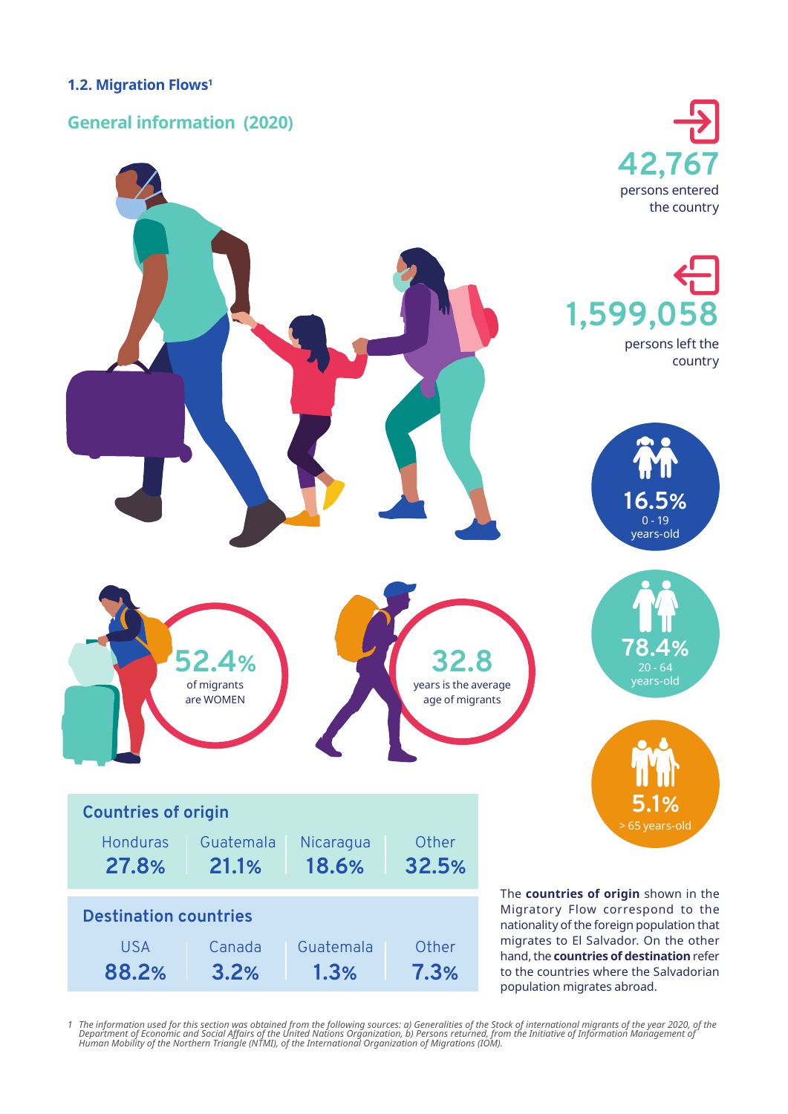#### **1.2. Migration Flows1**

#### **General information (2020)**



*1 The information used for this section was obtained from the following sources: a) Generalities of the Stock of international migrants of the year 2020, of the*  Department of Economic and Social Affairs of the United Nations Organization, b) Persons returned, from the Initiative of Information Management of<br>Human Mobility of the Northern Triangle (NTMI), of the International Organ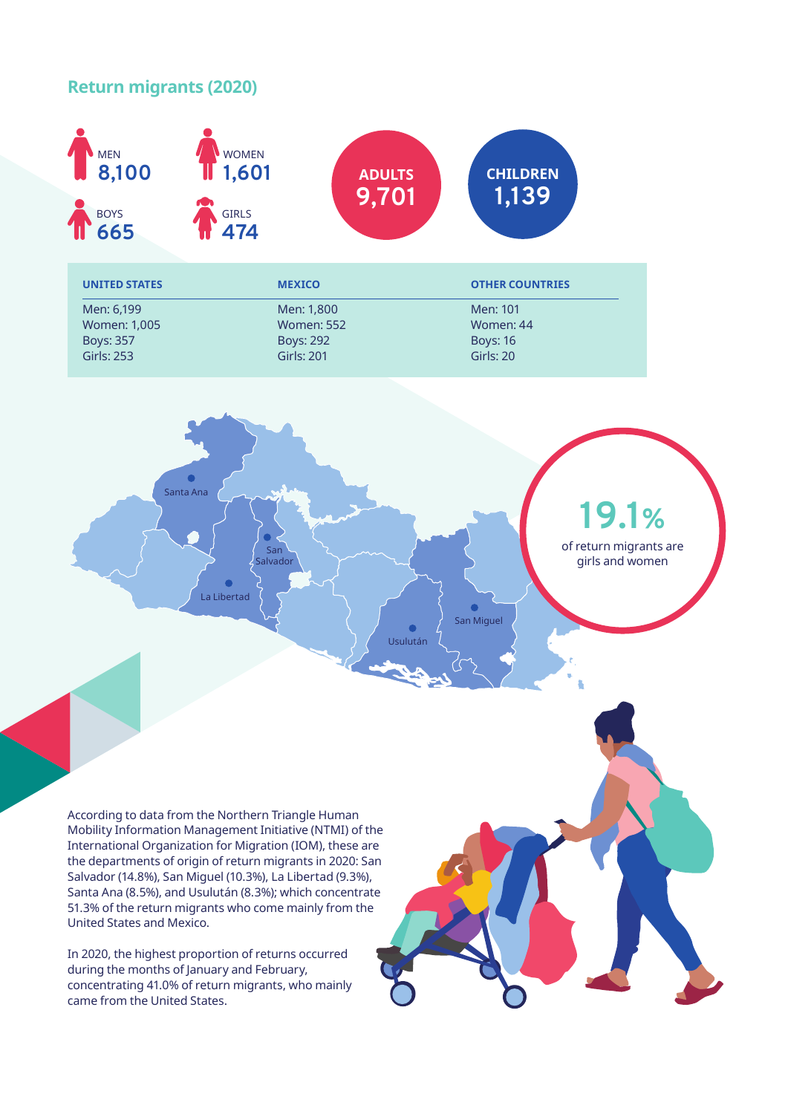#### **Return migrants (2020)**



San vado La Libertad Usulután Santa Ana San Miguel **19.1%** of return migrants are girls and women

According to data from the Northern Triangle Human Mobility Information Management Initiative (NTMI) of the International Organization for Migration (IOM), these are the departments of origin of return migrants in 2020: San Salvador (14.8%), San Miguel (10.3%), La Libertad (9.3%), Santa Ana (8.5%), and Usulután (8.3%); which concentrate 51.3% of the return migrants who come mainly from the United States and Mexico.

In 2020, the highest proportion of returns occurred during the months of January and February, concentrating 41.0% of return migrants, who mainly came from the United States.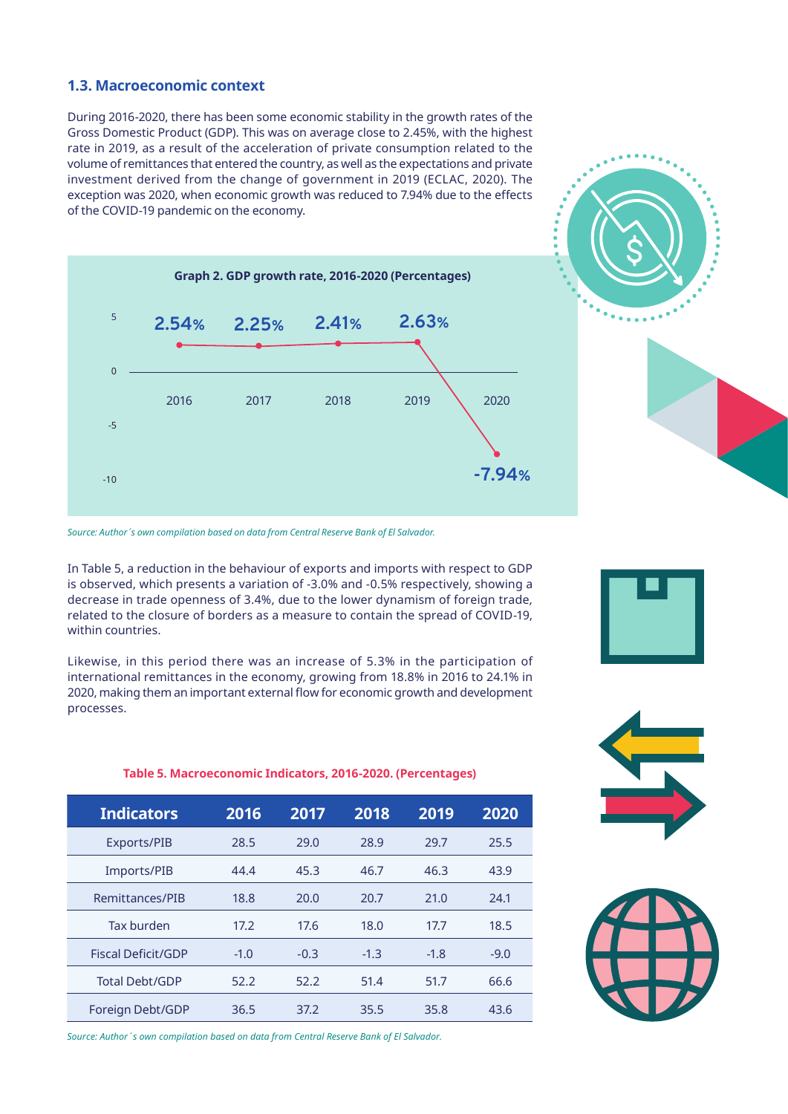#### **1.3. Macroeconomic context**

During 2016-2020, there has been some economic stability in the growth rates of the Gross Domestic Product (GDP). This was on average close to 2.45%, with the highest rate in 2019, as a result of the acceleration of private consumption related to the volume of remittances that entered the country, as well as the expectations and private investment derived from the change of government in 2019 (ECLAC, 2020). The exception was 2020, when economic growth was reduced to 7.94% due to the effects of the COVID-19 pandemic on the economy.



*Source: Author´s own compilation based on data from Central Reserve Bank of El Salvador.*

In Table 5, a reduction in the behaviour of exports and imports with respect to GDP is observed, which presents a variation of -3.0% and -0.5% respectively, showing a decrease in trade openness of 3.4%, due to the lower dynamism of foreign trade, related to the closure of borders as a measure to contain the spread of COVID-19, within countries.

Likewise, in this period there was an increase of 5.3% in the participation of international remittances in the economy, growing from 18.8% in 2016 to 24.1% in 2020, making them an important external flow for economic growth and development processes.

**Table 5. Macroeconomic Indicators, 2016-2020. (Percentages)**

**Indicators 2016 2017 2018 2019 2020** Exports/PIB 28.5 29.0 28.9 29.7 25.5 Imports/PIB 44.4 45.3 46.7 46.3 43.9 Remittances/PIB 18.8 20.0 20.7 21.0 24.1 Tax burden 17.2 17.6 18.0 17.7 18.5 Fiscal Deficit/GDP  $-1.0$   $-0.3$   $-1.3$   $-1.8$   $-9.0$ Total Debt/GDP 52.2 52.2 51.4 51.7 66.6 Foreign Debt/GDP 36.5 37.2 35.5 35.8 43.6

*Source: Author´s own compilation based on data from Central Reserve Bank of El Salvador.*



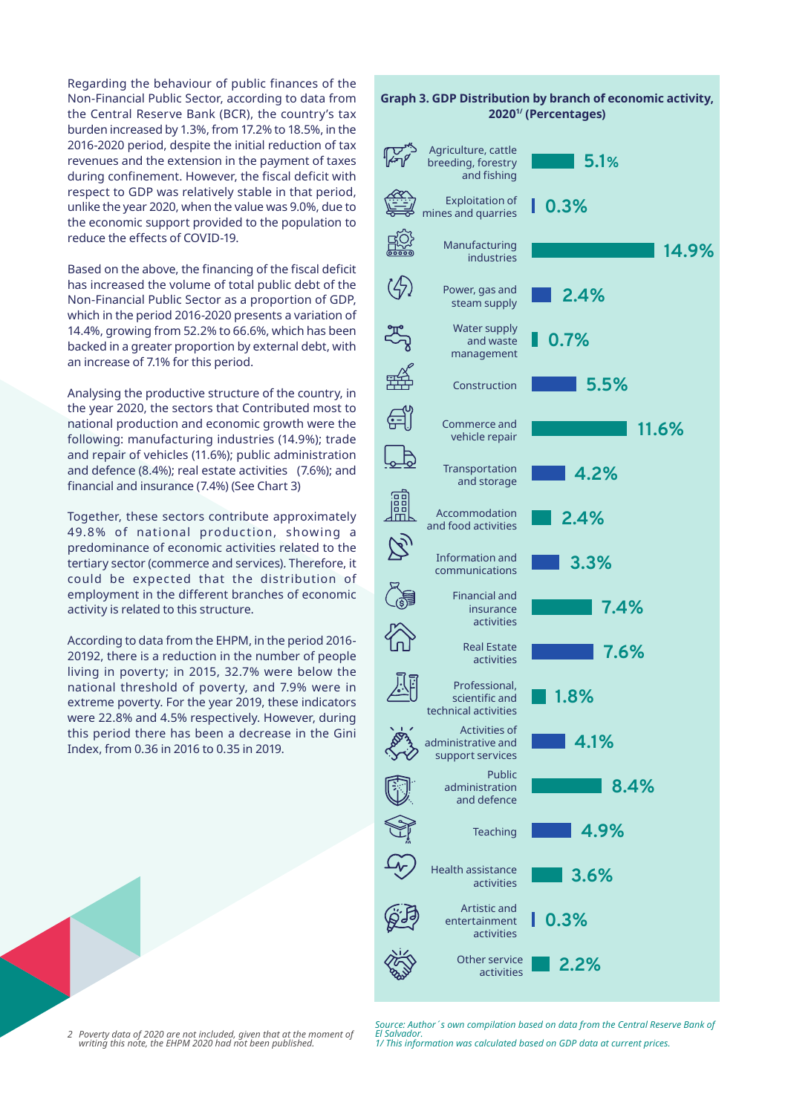Regarding the behaviour of public finances of the Non-Financial Public Sector, according to data from the Central Reserve Bank (BCR), the country's tax burden increased by 1.3%, from 17.2% to 18.5%, in the 2016-2020 period, despite the initial reduction of tax revenues and the extension in the payment of taxes during confinement. However, the fiscal deficit with respect to GDP was relatively stable in that period, unlike the year 2020, when the value was 9.0%, due to the economic support provided to the population to reduce the effects of COVID-19.

Based on the above, the financing of the fiscal deficit has increased the volume of total public debt of the Non-Financial Public Sector as a proportion of GDP, which in the period 2016-2020 presents a variation of 14.4%, growing from 52.2% to 66.6%, which has been backed in a greater proportion by external debt, with an increase of 7.1% for this period.

Analysing the productive structure of the country, in the year 2020, the sectors that Contributed most to national production and economic growth were the following: manufacturing industries (14.9%); trade and repair of vehicles (11.6%); public administration and defence (8.4%); real estate activities (7.6%); and financial and insurance (7.4%) (See Chart 3)

Together, these sectors contribute approximately 49.8% of national production, showing a predominance of economic activities related to the tertiary sector (commerce and services). Therefore, it could be expected that the distribution of employment in the different branches of economic activity is related to this structure.

According to data from the EHPM, in the period 2016- 20192, there is a reduction in the number of people living in poverty; in 2015, 32.7% were below the national threshold of poverty, and 7.9% were in extreme poverty. For the year 2019, these indicators were 22.8% and 4.5% respectively. However, during this period there has been a decrease in the Gini Index, from 0.36 in 2016 to 0.35 in 2019.

**0.3%** mines and quarries Manufacturing **14.9%** industries Power, gas and **2.4%** steam supply ಪ್ಗ್ರೆ Water supply **0.7%** and waste management **5.5%** Construction <u>ਵੀ</u> Commerce and **11.6%** vehicle repair Transportation **4.2%** and storage **Jill** Accommodation **2.4%** and food activities  $\widetilde{\mathcal{C}}$ Information and **3.3%** communications Financial and **7.4%** insurance activities Real Estate **7.6%** activities Professional, **1.8%** scientific and technical activities Activities of **4.1%** administrative and support services Public **8.4%** administration and defence **4.9%**

**Graph 3. GDP Distribution by branch of economic activity, 20201/ (Percentages)**

**5.1%**

Agriculture, cattle breeding, forestry and fishing Exploitation of



*2 Poverty data of 2020 are not included, given that at the moment of writing this note, the EHPM 2020 had not been published.*

*Source: Author´s own compilation based on data from the Central Reserve Bank of El Salvador. 1/ This information was calculated based on GDP data at current prices.*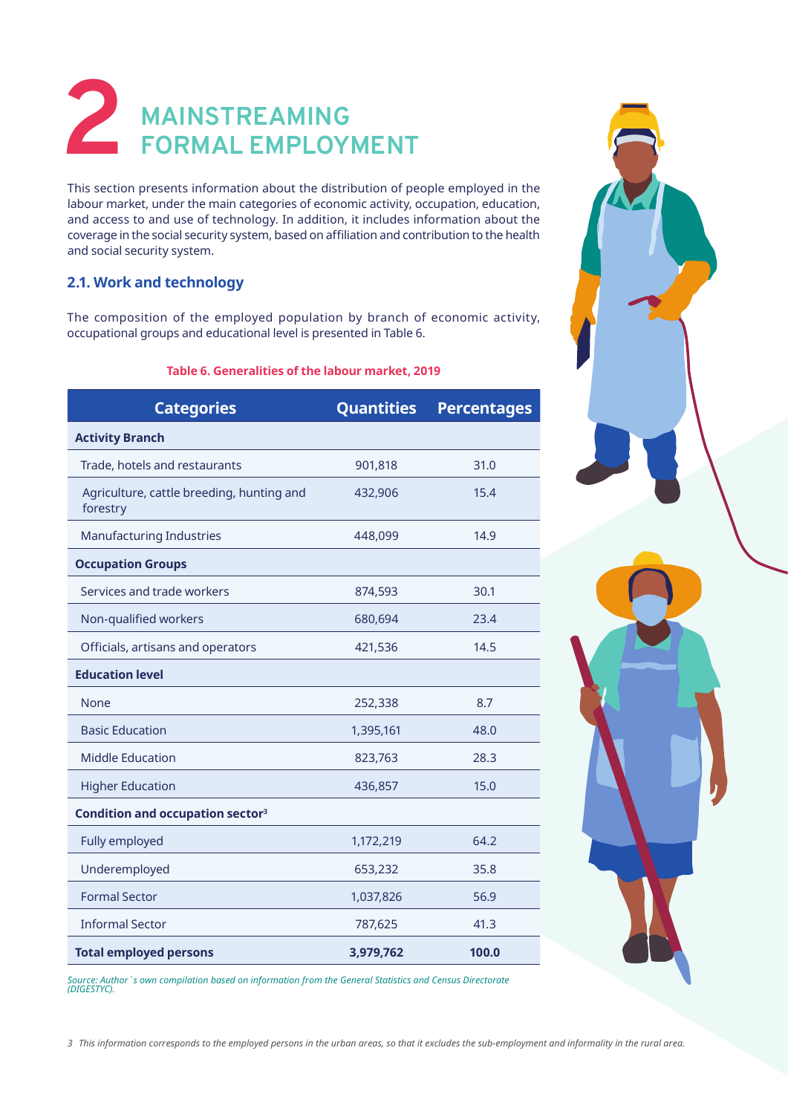# **2 MAINSTREAMING FORMAL EMPLOYMENT**

This section presents information about the distribution of people employed in the labour market, under the main categories of economic activity, occupation, education, and access to and use of technology. In addition, it includes information about the coverage in the social security system, based on affiliation and contribution to the health and social security system.

#### **2.1. Work and technology**

The composition of the employed population by branch of economic activity, occupational groups and educational level is presented in Table 6.

#### **Table 6. Generalities of the labour market, 2019**

| <b>Categories</b>                                     | <b>Quantities</b> | <b>Percentages</b> |
|-------------------------------------------------------|-------------------|--------------------|
| <b>Activity Branch</b>                                |                   |                    |
| Trade, hotels and restaurants                         | 901,818           | 31.0               |
| Agriculture, cattle breeding, hunting and<br>forestry | 432,906           | 15.4               |
| <b>Manufacturing Industries</b>                       | 448,099           | 14.9               |
| <b>Occupation Groups</b>                              |                   |                    |
| Services and trade workers                            | 874,593           | 30.1               |
| Non-qualified workers                                 | 680,694           | 23.4               |
| Officials, artisans and operators                     | 421,536           | 14.5               |
| <b>Education level</b>                                |                   |                    |
| None                                                  | 252,338           | 8.7                |
| <b>Basic Education</b>                                | 1,395,161         | 48.0               |
| <b>Middle Education</b>                               | 823,763           | 28.3               |
| <b>Higher Education</b>                               | 436,857           | 15.0               |
| Condition and occupation sector <sup>3</sup>          |                   |                    |
| Fully employed                                        | 1,172,219         | 64.2               |
| Underemployed                                         | 653,232           | 35.8               |
| <b>Formal Sector</b>                                  | 1,037,826         | 56.9               |
| <b>Informal Sector</b>                                | 787,625           | 41.3               |
| <b>Total employed persons</b>                         | 3,979,762         | 100.0              |



*Source: Author´s own compilation based on information from the General Statistics and Census Directorate (DIGESTYC).*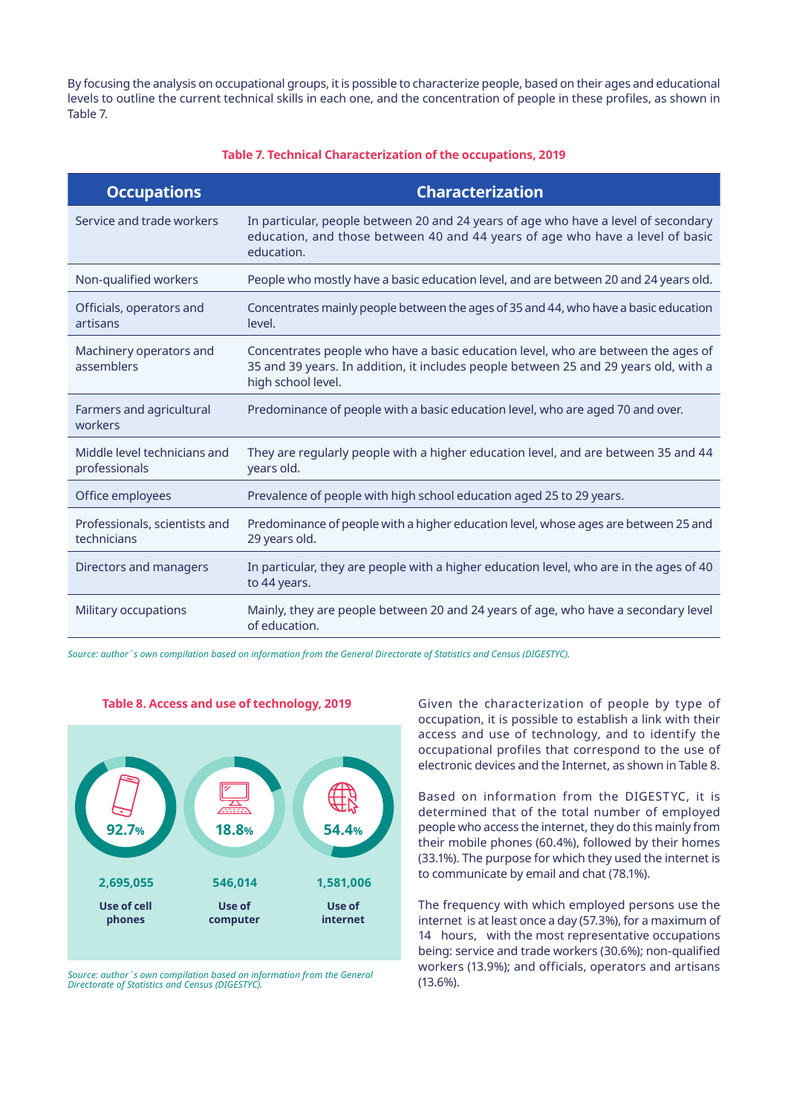By focusing the analysis on occupational groups, it is possible to characterize people, based on their ages and educational levels to outline the current technical skills in each one, and the concentration of people in these profiles, as shown in Table 7.

#### **Table 7. Technical Characterization of the occupations, 2019**

| <b>Occupations</b>                            | <b>Characterization</b>                                                                                                                                                                         |
|-----------------------------------------------|-------------------------------------------------------------------------------------------------------------------------------------------------------------------------------------------------|
| Service and trade workers                     | In particular, people between 20 and 24 years of age who have a level of secondary<br>education, and those between 40 and 44 years of age who have a level of basic<br>education.               |
| Non-qualified workers                         | People who mostly have a basic education level, and are between 20 and 24 years old.                                                                                                            |
| Officials, operators and<br>artisans          | Concentrates mainly people between the ages of 35 and 44, who have a basic education<br>level.                                                                                                  |
| Machinery operators and<br>assemblers         | Concentrates people who have a basic education level, who are between the ages of<br>35 and 39 years. In addition, it includes people between 25 and 29 years old, with a<br>high school level. |
| Farmers and agricultural<br>workers           | Predominance of people with a basic education level, who are aged 70 and over.                                                                                                                  |
| Middle level technicians and<br>professionals | They are regularly people with a higher education level, and are between 35 and 44<br>years old.                                                                                                |
| Office employees                              | Prevalence of people with high school education aged 25 to 29 years.                                                                                                                            |
| Professionals, scientists and<br>technicians  | Predominance of people with a higher education level, whose ages are between 25 and<br>29 years old.                                                                                            |
| Directors and managers                        | In particular, they are people with a higher education level, who are in the ages of 40<br>to 44 years.                                                                                         |
| Military occupations                          | Mainly, they are people between 20 and 24 years of age, who have a secondary level<br>of education.                                                                                             |

*Source: author´s own compilation based on information from the General Directorate of Statistics and Census (DIGESTYC).*



**Table 8. Access and use of technology, 2019**

*Source: author´s own compilation based on information from the General Directorate of Statistics and Census (DIGESTYC).*

Given the characterization of people by type of occupation, it is possible to establish a link with their access and use of technology, and to identify the occupational profiles that correspond to the use of electronic devices and the Internet, as shown in Table 8.

Based on information from the DIGESTYC, it is determined that of the total number of employed people who access the internet, they do this mainly from their mobile phones (60.4%), followed by their homes (33.1%). The purpose for which they used the internet is to communicate by email and chat (78.1%).

The frequency with which employed persons use the internet is at least once a day (57.3%), for a maximum of 14 hours, with the most representative occupations being: service and trade workers (30.6%); non-qualified workers (13.9%); and officials, operators and artisans (13.6%).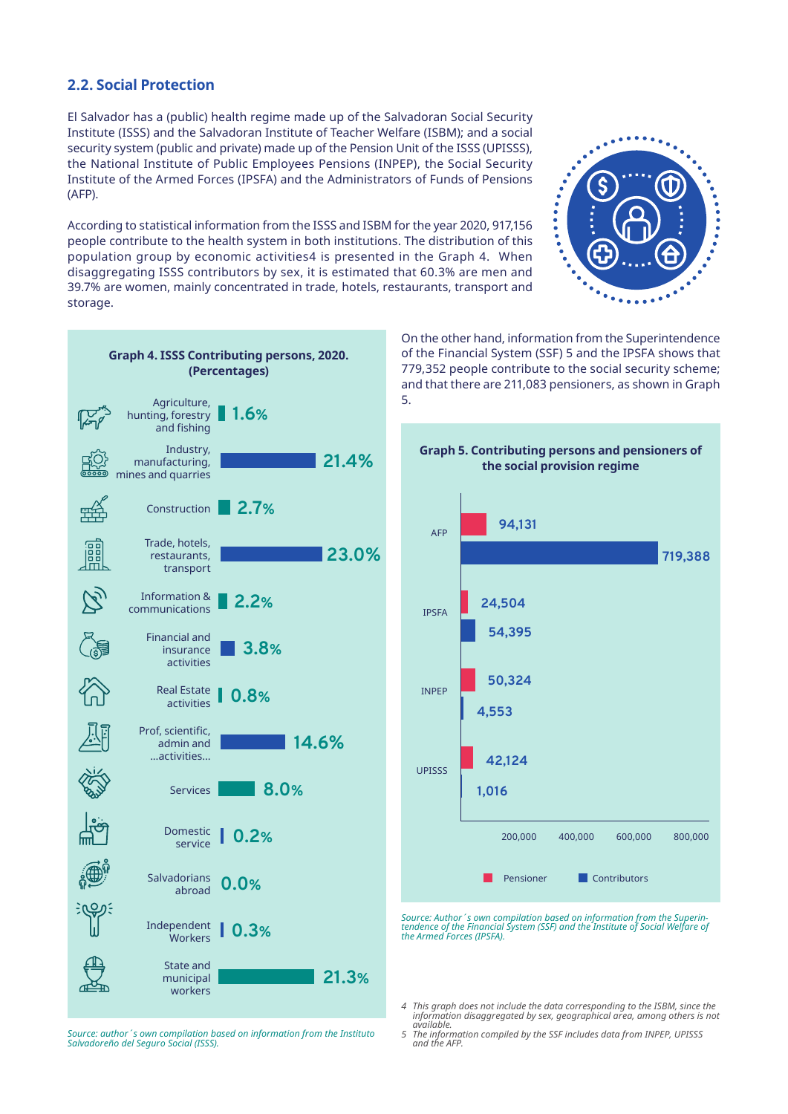#### **2.2. Social Protection**

El Salvador has a (public) health regime made up of the Salvadoran Social Security Institute (ISSS) and the Salvadoran Institute of Teacher Welfare (ISBM); and a social security system (public and private) made up of the Pension Unit of the ISSS (UPISSS), the National Institute of Public Employees Pensions (INPEP), the Social Security Institute of the Armed Forces (IPSFA) and the Administrators of Funds of Pensions (AFP).

According to statistical information from the ISSS and ISBM for the year 2020, 917,156 people contribute to the health system in both institutions. The distribution of this population group by economic activities4 is presented in the Graph 4. When disaggregating ISSS contributors by sex, it is estimated that 60.3% are men and 39.7% are women, mainly concentrated in trade, hotels, restaurants, transport and storage.





On the other hand, information from the Superintendence of the Financial System (SSF) 5 and the IPSFA shows that 779,352 people contribute to the social security scheme; and that there are 211,083 pensioners, as shown in Graph 5.



*Source: Author´s own compilation based on information from the Superin- tendence of the Financial System (SSF) and the Institute of Social Welfare of the Armed Forces (IPSFA).*

*4 This graph does not include the data corresponding to the ISBM, since the information disaggregated by sex, geographical area, among others is not available.* 

*Source: author´s own compilation based on information from the Instituto Salvadoreño del Seguro Social (ISSS).*

*<sup>5</sup> The information compiled by the SSF includes data from INPEP, UPISSS and the AFP.*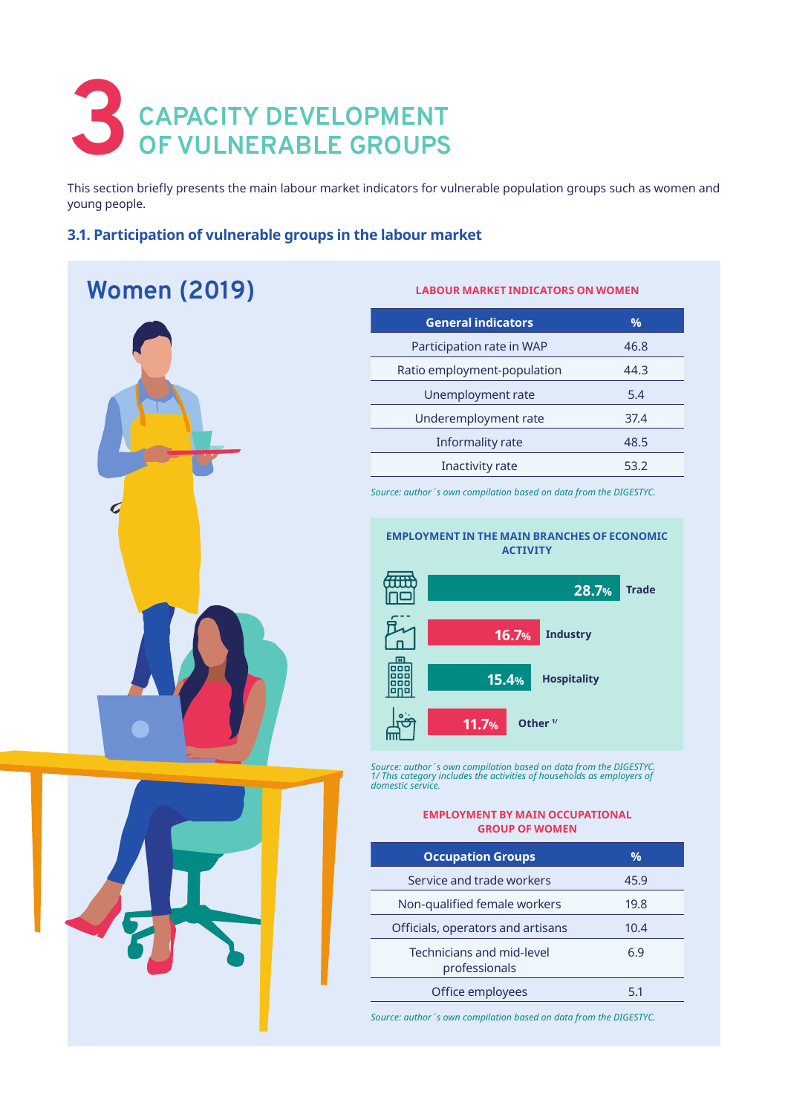# **3** CAPACITY DEVELOPMENT OF VULNERABLE GROUPS **OF VULNERABLE GROUPS**

This section briefly presents the main labour market indicators for vulnerable population groups such as women and young people.

#### **3.1. Participation of vulnerable groups in the labour market**

## **Women (2019)**



## **General indicators %**

**LABOUR MARKET INDICATORS ON WOMEN** 

| general mulcators           | 70   |
|-----------------------------|------|
| Participation rate in WAP   | 46.8 |
| Ratio employment-population | 44.3 |
| Unemployment rate           | 5.4  |
| Underemployment rate        | 37.4 |
| Informality rate            | 48.5 |
| <b>Inactivity rate</b>      | 53.2 |

*Source: author´s own compilation based on data from the DIGESTYC.*

#### **EMPLOYMENT IN THE MAIN BRANCHES OF ECONOMIC ACTIVITY**



*Source: author´s own compilation based on data from the DIGESTYC. 1/ This category includes the activities of households as employers of domestic service.*

#### **EMPLOYMENT BY MAIN OCCUPATIONAL GROUP OF WOMEN**

| <b>Occupation Groups</b>                   | $\%$ |
|--------------------------------------------|------|
| Service and trade workers                  | 45.9 |
| Non-qualified female workers               | 19.8 |
| Officials, operators and artisans          | 10.4 |
| Technicians and mid-level<br>professionals | 6.9  |
| Office employees                           | 51   |

*Source: author´s own compilation based on data from the DIGESTYC.*

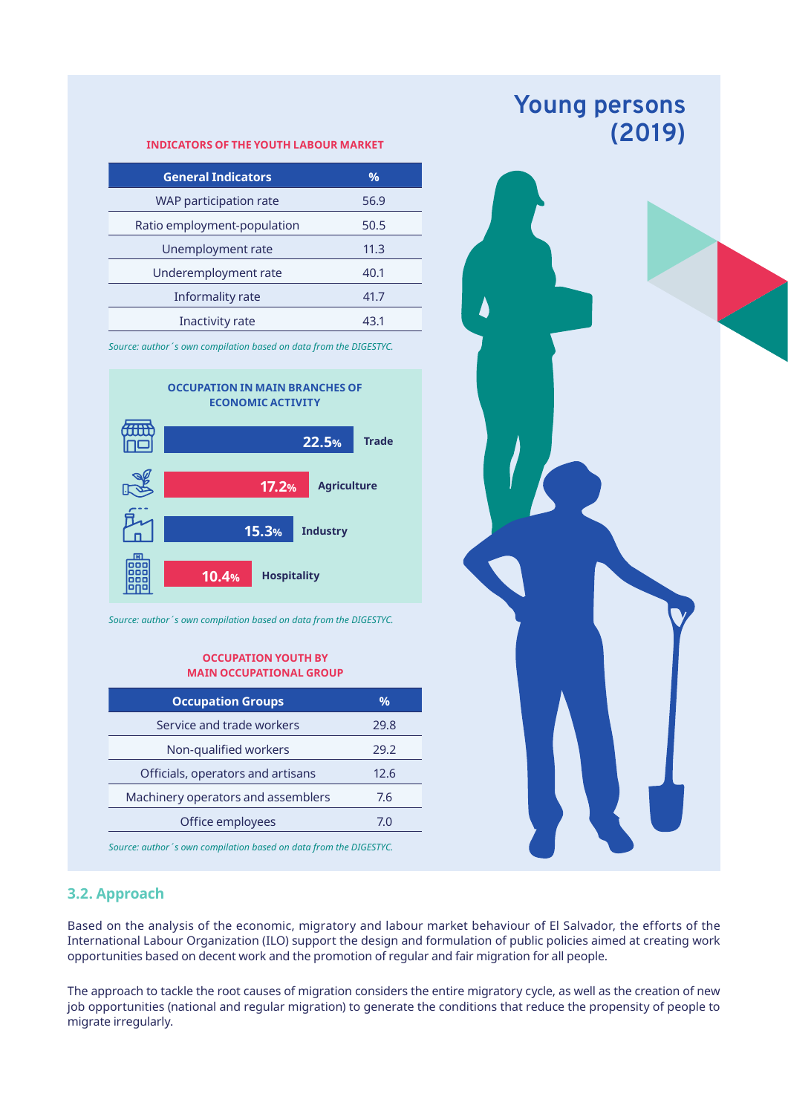#### **(2019) INDICATORS OF THE YOUTH LABOUR MARKET**

| <b>General Indicators</b>   | $\%$ |
|-----------------------------|------|
| WAP participation rate      | 56.9 |
| Ratio employment-population | 50.5 |
| Unemployment rate           | 11.3 |
| Underemployment rate        | 40.1 |
| Informality rate            | 41.7 |
| Inactivity rate             | 43.1 |

*Source: author´s own compilation based on data from the DIGESTYC.*



*Source: author´s own compilation based on data from the DIGESTYC.*

#### **OCCUPATION YOUTH BY MAIN OCCUPATIONAL GROUP**

| <b>Occupation Groups</b>           | %    |
|------------------------------------|------|
| Service and trade workers          | 29.8 |
| Non-qualified workers              | 29.2 |
| Officials, operators and artisans  | 12.6 |
| Machinery operators and assemblers | 7.6  |
| Office employees                   | 70   |
|                                    |      |

*Source: author´s own compilation based on data from the DIGESTYC.*





#### **3.2. Approach**

Based on the analysis of the economic, migratory and labour market behaviour of El Salvador, the efforts of the International Labour Organization (ILO) support the design and formulation of public policies aimed at creating work opportunities based on decent work and the promotion of regular and fair migration for all people.

The approach to tackle the root causes of migration considers the entire migratory cycle, as well as the creation of new job opportunities (national and regular migration) to generate the conditions that reduce the propensity of people to migrate irregularly.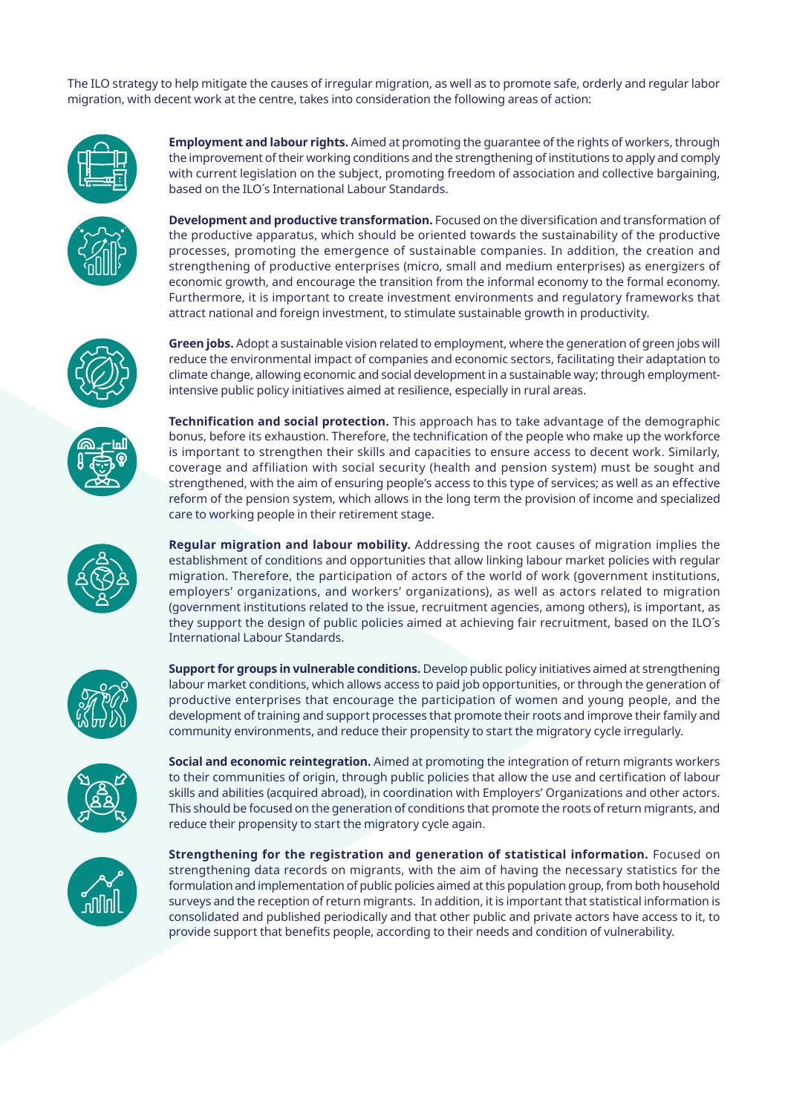The ILO strategy to help mitigate the causes of irregular migration, as well as to promote safe, orderly and regular labor migration, with decent work at the centre, takes into consideration the following areas of action:



**Employment and labour rights.** Aimed at promoting the guarantee of the rights of workers, through the improvement of their working conditions and the strengthening of institutions to apply and comply with current legislation on the subject, promoting freedom of association and collective bargaining, based on the ILO´s International Labour Standards.



**Development and productive transformation.** Focused on the diversification and transformation of the productive apparatus, which should be oriented towards the sustainability of the productive processes, promoting the emergence of sustainable companies. In addition, the creation and strengthening of productive enterprises (micro, small and medium enterprises) as energizers of economic growth, and encourage the transition from the informal economy to the formal economy. Furthermore, it is important to create investment environments and regulatory frameworks that attract national and foreign investment, to stimulate sustainable growth in productivity.

**Green jobs.** Adopt a sustainable vision related to employment, where the generation of green jobs will reduce the environmental impact of companies and economic sectors, facilitating their adaptation to climate change, allowing economic and social development in a sustainable way; through employment-

**Technification and social protection.** This approach has to take advantage of the demographic

intensive public policy initiatives aimed at resilience, especially in rural areas.





bonus, before its exhaustion. Therefore, the technification of the people who make up the workforce is important to strengthen their skills and capacities to ensure access to decent work. Similarly, coverage and affiliation with social security (health and pension system) must be sought and strengthened, with the aim of ensuring people's access to this type of services; as well as an effective reform of the pension system, which allows in the long term the provision of income and specialized care to working people in their retirement stage.

**Regular migration and labour mobility.** Addressing the root causes of migration implies the establishment of conditions and opportunities that allow linking labour market policies with regular migration. Therefore, the participation of actors of the world of work (government institutions, employers' organizations, and workers' organizations), as well as actors related to migration (government institutions related to the issue, recruitment agencies, among others), is important, as they support the design of public policies aimed at achieving fair recruitment, based on the ILO´s International Labour Standards.



**Support for groups in vulnerable conditions.** Develop public policy initiatives aimed at strengthening labour market conditions, which allows access to paid job opportunities, or through the generation of productive enterprises that encourage the participation of women and young people, and the development of training and support processes that promote their roots and improve their family and community environments, and reduce their propensity to start the migratory cycle irregularly.



**Social and economic reintegration.** Aimed at promoting the integration of return migrants workers to their communities of origin, through public policies that allow the use and certification of labour skills and abilities (acquired abroad), in coordination with Employers' Organizations and other actors. This should be focused on the generation of conditions that promote the roots of return migrants, and reduce their propensity to start the migratory cycle again.



**Strengthening for the registration and generation of statistical information.** Focused on strengthening data records on migrants, with the aim of having the necessary statistics for the formulation and implementation of public policies aimed at this population group, from both household surveys and the reception of return migrants. In addition, it is important that statistical information is consolidated and published periodically and that other public and private actors have access to it, to provide support that benefits people, according to their needs and condition of vulnerability.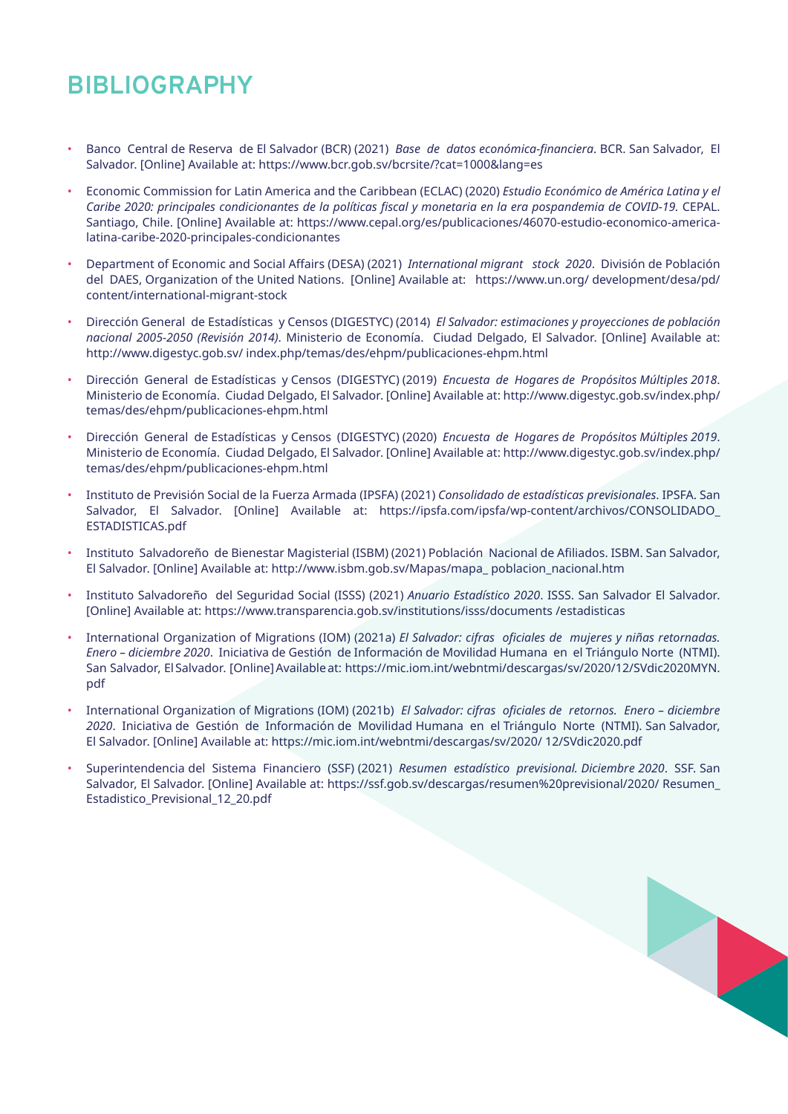## **BIBLIOGRAPHY**

- Banco Central de Reserva de El Salvador (BCR) (2021) *Base de datos económica-financiera*. BCR. San Salvador, El Salvador. [Online] Available at: https://www.bcr.gob.sv/bcrsite/?cat=1000&lang=es
- Economic Commission for Latin America and the Caribbean (ECLAC) (2020) *Estudio Económico de América Latina y el Caribe 2020: principales condicionantes de la políticas fiscal y monetaria en la era pospandemia de COVID-19.* CEPAL. Santiago, Chile. [Online] Available at: https://www.cepal.org/es/publicaciones/46070-estudio-economico-americalatina-caribe-2020-principales-condicionantes
- Department of Economic and Social Affairs (DESA) (2021) *International migrant stock 2020*. División de Población del DAES, Organization of the United Nations. [Online] Available at: https://www.un.org/ development/desa/pd/ content/international-migrant-stock
- Dirección General de Estadísticas y Censos (DIGESTYC) (2014) *El Salvador: estimaciones y proyecciones de población nacional 2005-2050 (Revisión 2014)*. Ministerio de Economía. Ciudad Delgado, El Salvador. [Online] Available at: http://www.digestyc.gob.sv/ index.php/temas/des/ehpm/publicaciones-ehpm.html
- Dirección General de Estadísticas y Censos (DIGESTYC) (2019) *Encuesta de Hogares de Propósitos Múltiples 2018*. Ministerio de Economía. Ciudad Delgado, El Salvador. [Online] Available at: http://www.digestyc.gob.sv/index.php/ temas/des/ehpm/publicaciones-ehpm.html
- Dirección General de Estadísticas y Censos (DIGESTYC) (2020) *Encuesta de Hogares de Propósitos Múltiples 2019*. Ministerio de Economía. Ciudad Delgado, El Salvador. [Online] Available at: http://www.digestyc.gob.sv/index.php/ temas/des/ehpm/publicaciones-ehpm.html
- Instituto de Previsión Social de la Fuerza Armada (IPSFA) (2021) *Consolidado de estadísticas previsionales*. IPSFA. San Salvador, El Salvador. [Online] Available at: https://ipsfa.com/ipsfa/wp-content/archivos/CONSOLIDADO\_ ESTADISTICAS.pdf
- Instituto Salvadoreño de Bienestar Magisterial (ISBM) (2021) Población Nacional de Afiliados. ISBM. San Salvador, El Salvador. [Online] Available at: http://www.isbm.gob.sv/Mapas/mapa\_ poblacion\_nacional.htm
- Instituto Salvadoreño del Seguridad Social (ISSS) (2021) *Anuario Estadístico 2020*. ISSS. San Salvador El Salvador. [Online] Available at: https://www.transparencia.gob.sv/institutions/isss/documents /estadisticas
- International Organization of Migrations (IOM) (2021a) *El Salvador: cifras oficiales de mujeres y niñas retornadas. Enero – diciembre 2020*. Iniciativa de Gestión de Información de Movilidad Humana en el Triángulo Norte (NTMI). San Salvador, El Salvador. [Online] Available at: https://mic.iom.int/webntmi/descargas/sv/2020/12/SVdic2020MYN. pdf
- International Organization of Migrations (IOM) (2021b) *El Salvador: cifras oficiales de retornos. Enero diciembre 2020*. Iniciativa de Gestión de Información de Movilidad Humana en el Triángulo Norte (NTMI). San Salvador, El Salvador. [Online] Available at: https://mic.iom.int/webntmi/descargas/sv/2020/ 12/SVdic2020.pdf
- Superintendencia del Sistema Financiero (SSF) (2021) *Resumen estadístico previsional. Diciembre 2020*. SSF. San Salvador, El Salvador. [Online] Available at: https://ssf.gob.sv/descargas/resumen%20previsional/2020/ Resumen\_ Estadistico\_Previsional\_12\_20.pdf